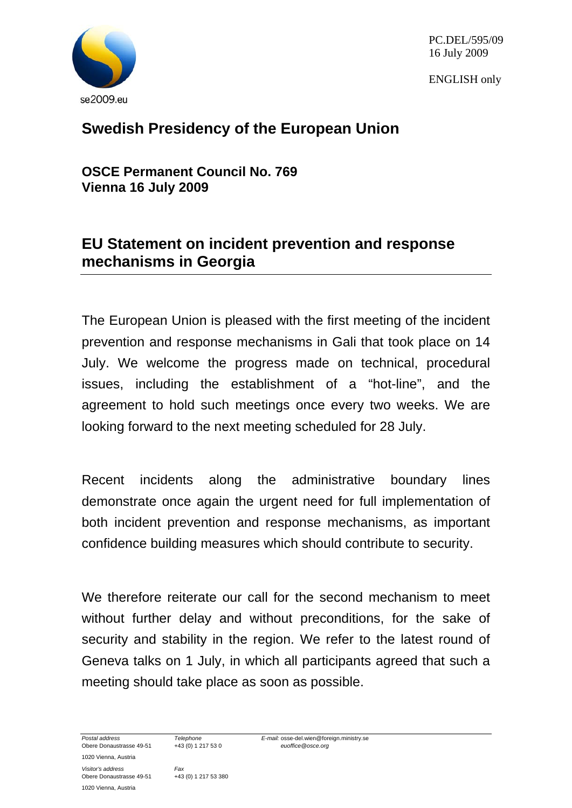

PC.DEL/595/09 16 July 2009

ENGLISH only

## **Swedish Presidency of the European Union**

**OSCE Permanent Council No. 769 Vienna 16 July 2009** 

## **EU Statement on incident prevention and response mechanisms in Georgia**

The European Union is pleased with the first meeting of the incident prevention and response mechanisms in Gali that took place on 14 July. We welcome the progress made on technical, procedural issues, including the establishment of a "hot-line", and the agreement to hold such meetings once every two weeks. We are looking forward to the next meeting scheduled for 28 July.

Recent incidents along the administrative boundary lines demonstrate once again the urgent need for full implementation of both incident prevention and response mechanisms, as important confidence building measures which should contribute to security.

We therefore reiterate our call for the second mechanism to meet without further delay and without preconditions, for the sake of security and stability in the region. We refer to the latest round of Geneva talks on 1 July, in which all participants agreed that such a meeting should take place as soon as possible.